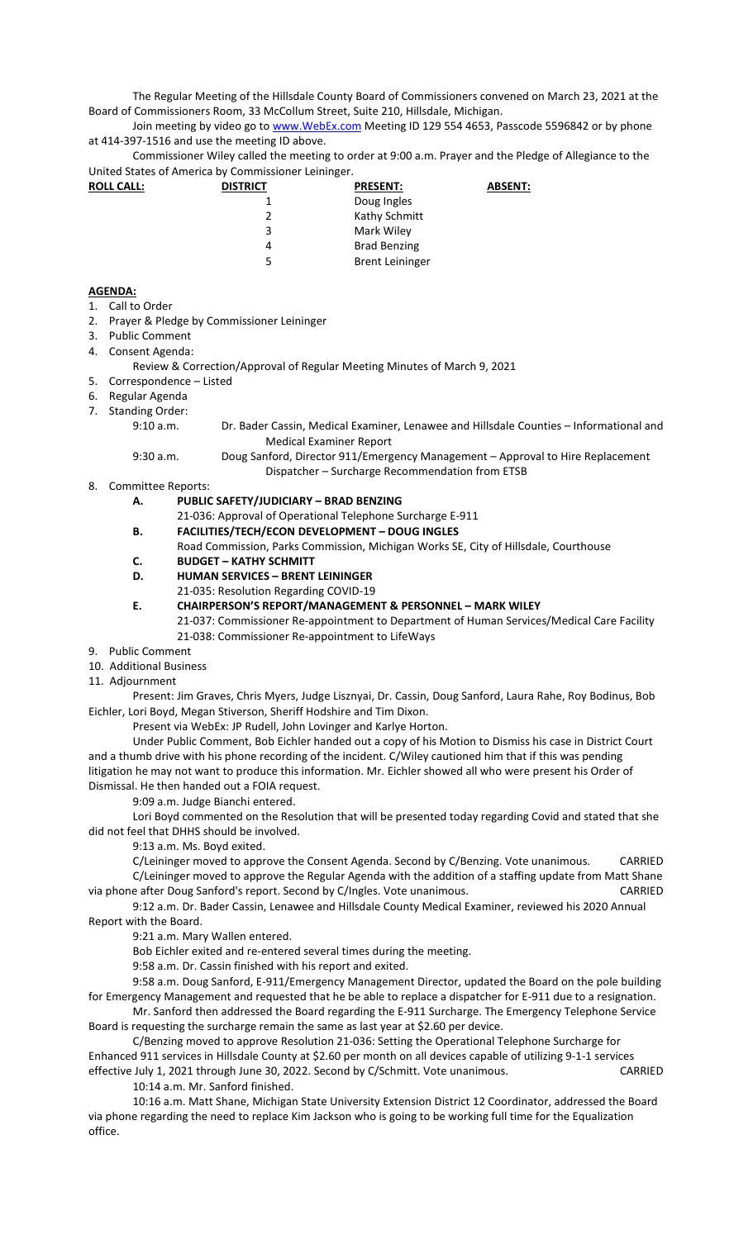The Regular Meeting of the Hillsdale County Board of Commissioners convened on March 23, 2021 at the Board of Commissioners Room, 33 McCollum Street, Suite 210, Hillsdale, Michigan.

Join meeting by video go to www. WebEx.com Meeting ID 129 554 4653, Passcode 5596842 or by phone at 414-397-1516 and use the meeting ID above.

Commissioner Wiley called the meeting to order at 9:00 a.m. Prayer and the Pledge of Allegiance to the United States of America by Commissioner Leininger.

| <b>ROLL CALL:</b> | <b>DISTRICT</b> | <b>PRESENT:</b>        | <b>ABSENT:</b> |
|-------------------|-----------------|------------------------|----------------|
|                   |                 | Doug Ingles            |                |
|                   | 2               | Kathy Schmitt          |                |
|                   | 3               | Mark Wiley             |                |
|                   | 4               | <b>Brad Benzing</b>    |                |
|                   | 5               | <b>Brent Leininger</b> |                |
|                   |                 |                        |                |

## **AGENDA:**

- 1. Call to Order
- 2. Prayer & Pledge by Commissioner Leininger
- 3. Public Comment
- 4. Consent Agenda:
	- Review & Correction/Approval of Regular Meeting Minutes of March 9, 2021
- 5. Correspondence Listed
- 6. Regular Agenda
- 7. Standing Order:
	- 9:10 a.m. Dr. Bader Cassin, Medical Examiner, Lenawee and Hillsdale Counties Informational and Medical Examiner Report
	- 9:30 a.m. Doug Sanford, Director 911/Emergency Management Approval to Hire Replacement Dispatcher – Surcharge Recommendation from ETSB
- 8. Committee Reports:

## **A. PUBLIC SAFETY/JUDICIARY – BRAD BENZING**

- 21-036: Approval of Operational Telephone Surcharge E-911
- **B. FACILITIES/TECH/ECON DEVELOPMENT DOUG INGLES** 
	- Road Commission, Parks Commission, Michigan Works SE, City of Hillsdale, Courthouse
- **C. BUDGET KATHY SCHMITT**
- **D. HUMAN SERVICES BRENT LEININGER**
- 21-035: Resolution Regarding COVID-19
- **E. CHAIRPERSON'S REPORT/MANAGEMENT & PERSONNEL MARK WILEY** 
	- 21-037: Commissioner Re-appointment to Department of Human Services/Medical Care Facility 21-038: Commissioner Re-appointment to LifeWays
- 9. Public Comment
- 10. Additional Business
- 11. Adjournment

Present: Jim Graves, Chris Myers, Judge Lisznyai, Dr. Cassin, Doug Sanford, Laura Rahe, Roy Bodinus, Bob Eichler, Lori Boyd, Megan Stiverson, Sheriff Hodshire and Tim Dixon.

Present via WebEx: JP Rudell, John Lovinger and Karlye Horton.

Under Public Comment, Bob Eichler handed out a copy of his Motion to Dismiss his case in District Court and a thumb drive with his phone recording of the incident. C/Wiley cautioned him that if this was pending litigation he may not want to produce this information. Mr. Eichler showed all who were present his Order of Dismissal. He then handed out a FOIA request.

9:09 a.m. Judge Bianchi entered.

Lori Boyd commented on the Resolution that will be presented today regarding Covid and stated that she did not feel that DHHS should be involved.

9:13 a.m. Ms. Boyd exited.

C/Leininger moved to approve the Consent Agenda. Second by C/Benzing. Vote unanimous. CARRIED C/Leininger moved to approve the Regular Agenda with the addition of a staffing update from Matt Shane via phone after Doug Sanford's report. Second by C/Ingles. Vote unanimous. CARRIED

9:12 a.m. Dr. Bader Cassin, Lenawee and Hillsdale County Medical Examiner, reviewed his 2020 Annual Report with the Board.

9:21 a.m. Mary Wallen entered.

Bob Eichler exited and re-entered several times during the meeting.

9:58 a.m. Dr. Cassin finished with his report and exited.

9:58 a.m. Doug Sanford, E-911/Emergency Management Director, updated the Board on the pole building for Emergency Management and requested that he be able to replace a dispatcher for E-911 due to a resignation.

Mr. Sanford then addressed the Board regarding the E-911 Surcharge. The Emergency Telephone Service Board is requesting the surcharge remain the same as last year at \$2.60 per device.

C/Benzing moved to approve Resolution 21-036: Setting the Operational Telephone Surcharge for Enhanced 911 services in Hillsdale County at \$2.60 per month on all devices capable of utilizing 9-1-1 services effective July 1, 2021 through June 30, 2022. Second by C/Schmitt. Vote unanimous. CARRIED

10:14 a.m. Mr. Sanford finished.

10:16 a.m. Matt Shane, Michigan State University Extension District 12 Coordinator, addressed the Board via phone regarding the need to replace Kim Jackson who is going to be working full time for the Equalization office.